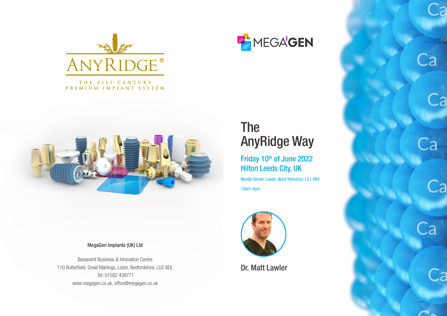

THE 21ST CENTURY PREMIUM IMPLANT SYSTEM



MegaGen Implants (UK) Ltd

Basepoint Business & Innovation Centre 110 Butterfield, Great Marlings, Luton, Bedfordshire, LU2 8DL Tel: 01582 439771 www.megagen.co.uk, office@megagen.co.uk



## The AnyRidge Way

Friday 10th of June 2022 Hilton Leeds City, UK

Neville Street, Leeds, West Yorkshire, LS1 4BX 10am-4pm



Dr. Matt Lawler

Ca

.<br>a

Ca

Ca



Ca

Ca